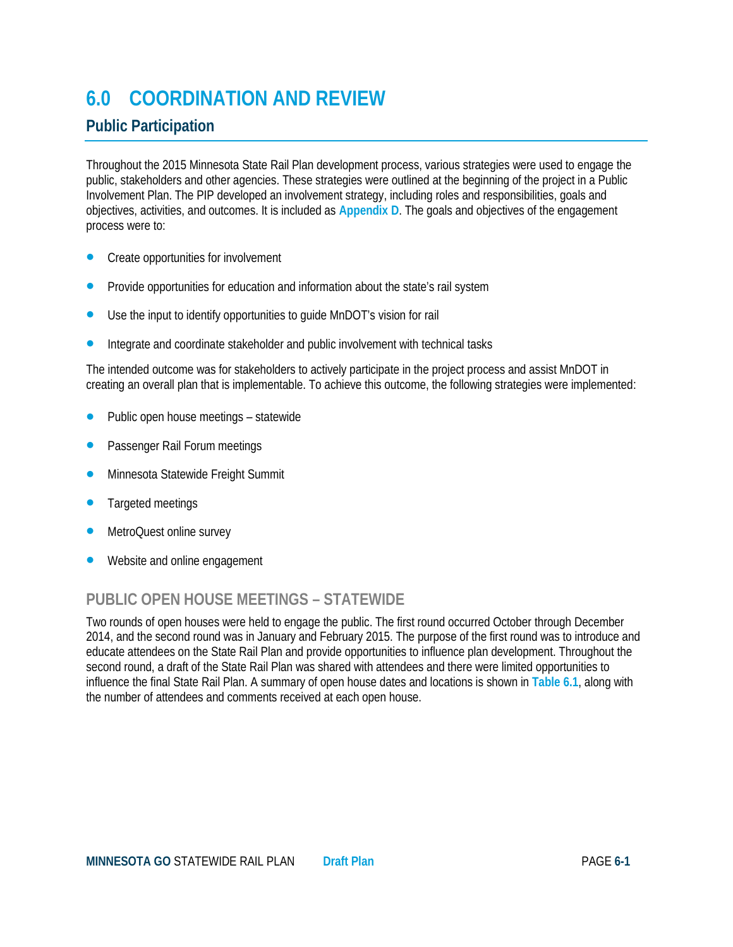# **6.0 COORDINATION AND REVIEW**

# **Public Participation**

Throughout the 2015 Minnesota State Rail Plan development process, various strategies were used to engage the public, stakeholders and other agencies. These strategies were outlined at the beginning of the project in a Public Involvement Plan. The PIP developed an involvement strategy, including roles and responsibilities, goals and objectives, activities, and outcomes. It is included as **Appendix D**. The goals and objectives of the engagement process were to:

- Create opportunities for involvement
- Provide opportunities for education and information about the state's rail system
- Use the input to identify opportunities to guide MnDOT's vision for rail
- Integrate and coordinate stakeholder and public involvement with technical tasks

The intended outcome was for stakeholders to actively participate in the project process and assist MnDOT in creating an overall plan that is implementable. To achieve this outcome, the following strategies were implemented:

- Public open house meetings statewide
- Passenger Rail Forum meetings
- Minnesota Statewide Freight Summit
- Targeted meetings
- MetroQuest online survey
- Website and online engagement

# **PUBLIC OPEN HOUSE MEETINGS – STATEWIDE**

Two rounds of open houses were held to engage the public. The first round occurred October through December 2014, and the second round was in January and February 2015. The purpose of the first round was to introduce and educate attendees on the State Rail Plan and provide opportunities to influence plan development. Throughout the second round, a draft of the State Rail Plan was shared with attendees and there were limited opportunities to influence the final State Rail Plan. A summary of open house dates and locations is shown in **Table 6.1**, along with the number of attendees and comments received at each open house.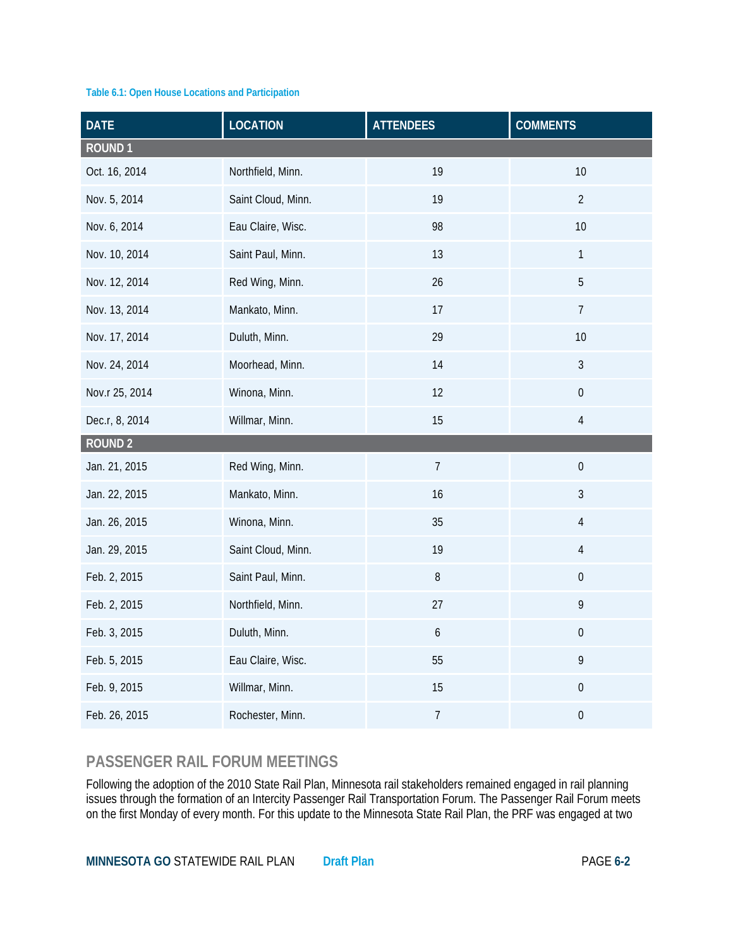#### **Table 6.1: Open House Locations and Participation**

| <b>DATE</b>    | <b>LOCATION</b>    | <b>ATTENDEES</b> | <b>COMMENTS</b>  |
|----------------|--------------------|------------------|------------------|
| <b>ROUND1</b>  |                    |                  |                  |
| Oct. 16, 2014  | Northfield, Minn.  | 19               | 10               |
| Nov. 5, 2014   | Saint Cloud, Minn. | 19               | $\overline{2}$   |
| Nov. 6, 2014   | Eau Claire, Wisc.  | 98               | 10               |
| Nov. 10, 2014  | Saint Paul, Minn.  | 13               | $\mathbf{1}$     |
| Nov. 12, 2014  | Red Wing, Minn.    | 26               | 5                |
| Nov. 13, 2014  | Mankato, Minn.     | 17               | $\overline{7}$   |
| Nov. 17, 2014  | Duluth, Minn.      | 29               | 10               |
| Nov. 24, 2014  | Moorhead, Minn.    | 14               | $\mathfrak{Z}$   |
| Nov.r 25, 2014 | Winona, Minn.      | 12               | $\boldsymbol{0}$ |
| Dec.r, 8, 2014 | Willmar, Minn.     | 15               | $\sqrt{4}$       |
| <b>ROUND 2</b> |                    |                  |                  |
| Jan. 21, 2015  | Red Wing, Minn.    | $\overline{7}$   | $\boldsymbol{0}$ |
| Jan. 22, 2015  | Mankato, Minn.     | 16               | $\mathfrak{Z}$   |
| Jan. 26, 2015  | Winona, Minn.      | 35               | $\overline{4}$   |
| Jan. 29, 2015  | Saint Cloud, Minn. | 19               | $\overline{4}$   |
| Feb. 2, 2015   | Saint Paul, Minn.  | 8                | $\boldsymbol{0}$ |
| Feb. 2, 2015   | Northfield, Minn.  | 27               | 9                |
| Feb. 3, 2015   | Duluth, Minn.      | $\boldsymbol{6}$ | $\boldsymbol{0}$ |
| Feb. 5, 2015   | Eau Claire, Wisc.  | 55               | 9                |
| Feb. 9, 2015   | Willmar, Minn.     | 15               | $\boldsymbol{0}$ |
| Feb. 26, 2015  | Rochester, Minn.   | $\boldsymbol{7}$ | $\boldsymbol{0}$ |

# **PASSENGER RAIL FORUM MEETINGS**

Following the adoption of the 2010 State Rail Plan, Minnesota rail stakeholders remained engaged in rail planning issues through the formation of an Intercity Passenger Rail Transportation Forum. The Passenger Rail Forum meets on the first Monday of every month. For this update to the Minnesota State Rail Plan, the PRF was engaged at two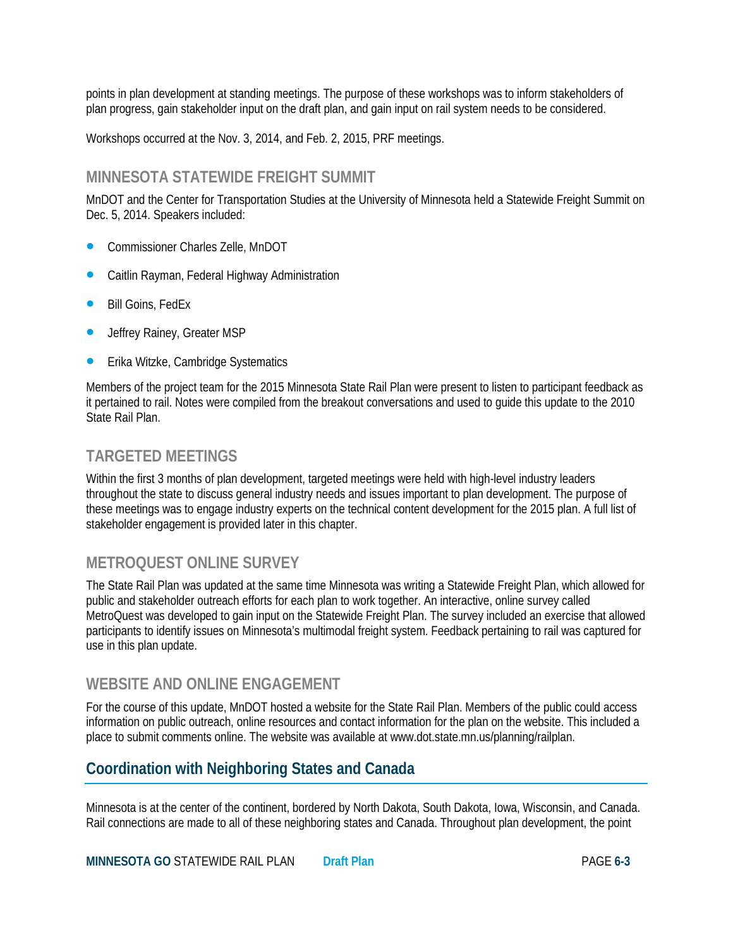points in plan development at standing meetings. The purpose of these workshops was to inform stakeholders of plan progress, gain stakeholder input on the draft plan, and gain input on rail system needs to be considered.

Workshops occurred at the Nov. 3, 2014, and Feb. 2, 2015, PRF meetings.

### **MINNESOTA STATEWIDE FREIGHT SUMMIT**

MnDOT and the Center for Transportation Studies at the University of Minnesota held a Statewide Freight Summit on Dec. 5, 2014. Speakers included:

- Commissioner Charles Zelle, MnDOT
- Caitlin Rayman, Federal Highway Administration
- Bill Goins, FedEx
- Jeffrey Rainey, Greater MSP
- Erika Witzke, Cambridge Systematics

Members of the project team for the 2015 Minnesota State Rail Plan were present to listen to participant feedback as it pertained to rail. Notes were compiled from the breakout conversations and used to guide this update to the 2010 State Rail Plan.

### **TARGETED MEETINGS**

Within the first 3 months of plan development, targeted meetings were held with high-level industry leaders throughout the state to discuss general industry needs and issues important to plan development. The purpose of these meetings was to engage industry experts on the technical content development for the 2015 plan. A full list of stakeholder engagement is provided later in this chapter.

# **METROQUEST ONLINE SURVEY**

The State Rail Plan was updated at the same time Minnesota was writing a Statewide Freight Plan, which allowed for public and stakeholder outreach efforts for each plan to work together. An interactive, online survey called MetroQuest was developed to gain input on the Statewide Freight Plan. The survey included an exercise that allowed participants to identify issues on Minnesota's multimodal freight system. Feedback pertaining to rail was captured for use in this plan update.

#### **WEBSITE AND ONLINE ENGAGEMENT**

For the course of this update, MnDOT hosted a website for the State Rail Plan. Members of the public could access information on public outreach, online resources and contact information for the plan on the website. This included a place to submit comments online. The website was available at www.dot.state.mn.us/planning/railplan.

# **Coordination with Neighboring States and Canada**

Minnesota is at the center of the continent, bordered by North Dakota, South Dakota, Iowa, Wisconsin, and Canada. Rail connections are made to all of these neighboring states and Canada. Throughout plan development, the point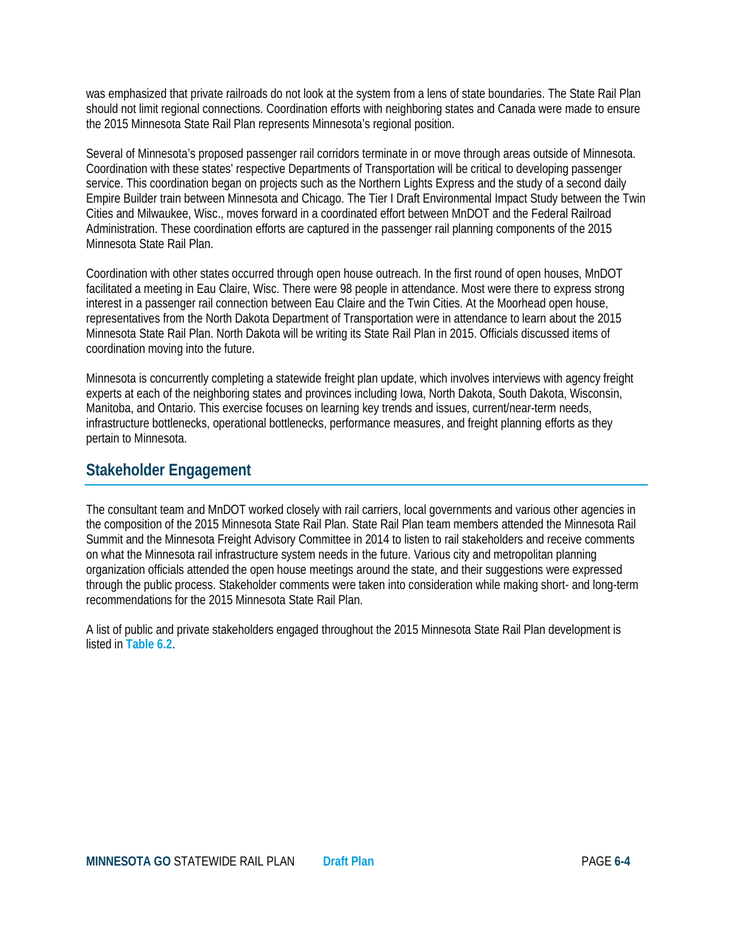was emphasized that private railroads do not look at the system from a lens of state boundaries. The State Rail Plan should not limit regional connections. Coordination efforts with neighboring states and Canada were made to ensure the 2015 Minnesota State Rail Plan represents Minnesota's regional position.

Several of Minnesota's proposed passenger rail corridors terminate in or move through areas outside of Minnesota. Coordination with these states' respective Departments of Transportation will be critical to developing passenger service. This coordination began on projects such as the Northern Lights Express and the study of a second daily Empire Builder train between Minnesota and Chicago. The Tier I Draft Environmental Impact Study between the Twin Cities and Milwaukee, Wisc., moves forward in a coordinated effort between MnDOT and the Federal Railroad Administration. These coordination efforts are captured in the passenger rail planning components of the 2015 Minnesota State Rail Plan.

Coordination with other states occurred through open house outreach. In the first round of open houses, MnDOT facilitated a meeting in Eau Claire, Wisc. There were 98 people in attendance. Most were there to express strong interest in a passenger rail connection between Eau Claire and the Twin Cities. At the Moorhead open house, representatives from the North Dakota Department of Transportation were in attendance to learn about the 2015 Minnesota State Rail Plan. North Dakota will be writing its State Rail Plan in 2015. Officials discussed items of coordination moving into the future.

Minnesota is concurrently completing a statewide freight plan update, which involves interviews with agency freight experts at each of the neighboring states and provinces including Iowa, North Dakota, South Dakota, Wisconsin, Manitoba, and Ontario. This exercise focuses on learning key trends and issues, current/near-term needs, infrastructure bottlenecks, operational bottlenecks, performance measures, and freight planning efforts as they pertain to Minnesota.

### **Stakeholder Engagement**

The consultant team and MnDOT worked closely with rail carriers, local governments and various other agencies in the composition of the 2015 Minnesota State Rail Plan. State Rail Plan team members attended the Minnesota Rail Summit and the Minnesota Freight Advisory Committee in 2014 to listen to rail stakeholders and receive comments on what the Minnesota rail infrastructure system needs in the future. Various city and metropolitan planning organization officials attended the open house meetings around the state, and their suggestions were expressed through the public process. Stakeholder comments were taken into consideration while making short- and long-term recommendations for the 2015 Minnesota State Rail Plan.

A list of public and private stakeholders engaged throughout the 2015 Minnesota State Rail Plan development is listed in **Table 6.2**.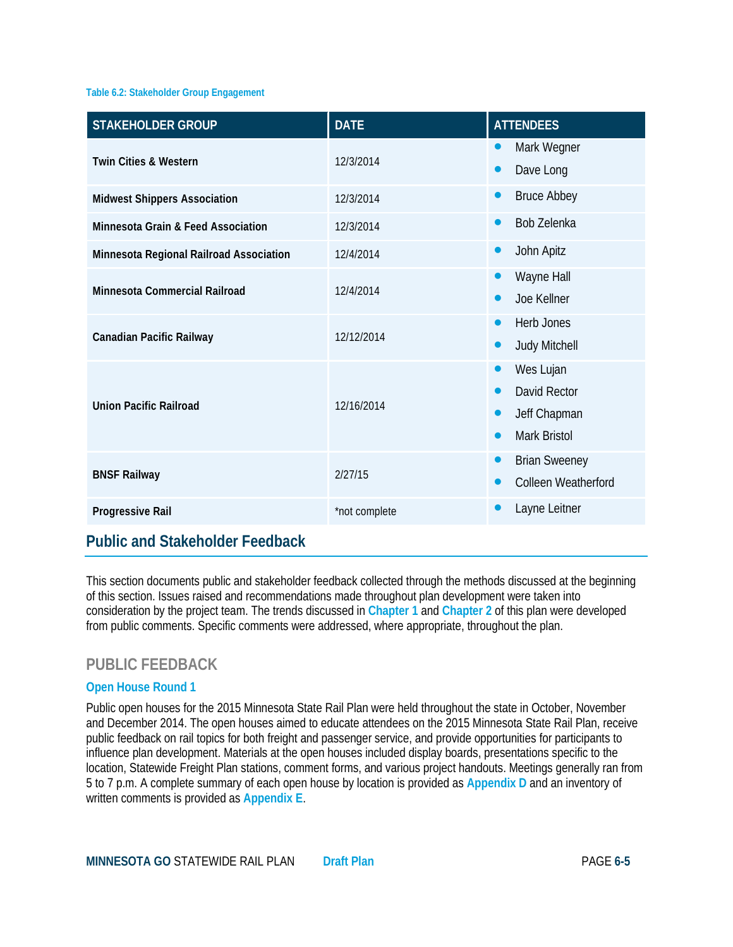#### **Table 6.2: Stakeholder Group Engagement**

| <b>STAKEHOLDER GROUP</b>                | <b>DATE</b>   | <b>ATTENDEES</b>                                                                                 |
|-----------------------------------------|---------------|--------------------------------------------------------------------------------------------------|
| <b>Twin Cities &amp; Western</b>        | 12/3/2014     | Mark Wegner<br>$\bullet$<br>Dave Long<br>$\bullet$                                               |
| <b>Midwest Shippers Association</b>     | 12/3/2014     | <b>Bruce Abbey</b><br>$\bullet$                                                                  |
| Minnesota Grain & Feed Association      | 12/3/2014     | Bob Zelenka<br>$\bullet$                                                                         |
| Minnesota Regional Railroad Association | 12/4/2014     | John Apitz<br>$\bullet$                                                                          |
| Minnesota Commercial Railroad           | 12/4/2014     | Wayne Hall<br>Joe Kellner                                                                        |
| Canadian Pacific Railway                | 12/12/2014    | Herb Jones<br>$\bullet$<br><b>Judy Mitchell</b><br>$\bullet$                                     |
| Union Pacific Railroad                  | 12/16/2014    | Wes Lujan<br>$\bullet$<br>David Rector<br>Jeff Chapman<br>$\bullet$<br>Mark Bristol<br>$\bullet$ |
| <b>BNSF Railway</b>                     | 2/27/15       | <b>Brian Sweeney</b><br>$\bullet$<br>Colleen Weatherford                                         |
| Progressive Rail                        | *not complete | Layne Leitner                                                                                    |

### **Public and Stakeholder Feedback**

This section documents public and stakeholder feedback collected through the methods discussed at the beginning of this section. Issues raised and recommendations made throughout plan development were taken into consideration by the project team. The trends discussed in **Chapter 1** and **Chapter 2** of this plan were developed from public comments. Specific comments were addressed, where appropriate, throughout the plan.

### **PUBLIC FEEDBACK**

#### **Open House Round 1**

Public open houses for the 2015 Minnesota State Rail Plan were held throughout the state in October, November and December 2014. The open houses aimed to educate attendees on the 2015 Minnesota State Rail Plan, receive public feedback on rail topics for both freight and passenger service, and provide opportunities for participants to influence plan development. Materials at the open houses included display boards, presentations specific to the location, Statewide Freight Plan stations, comment forms, and various project handouts. Meetings generally ran from 5 to 7 p.m. A complete summary of each open house by location is provided as **Appendix D** and an inventory of written comments is provided as **Appendix E**.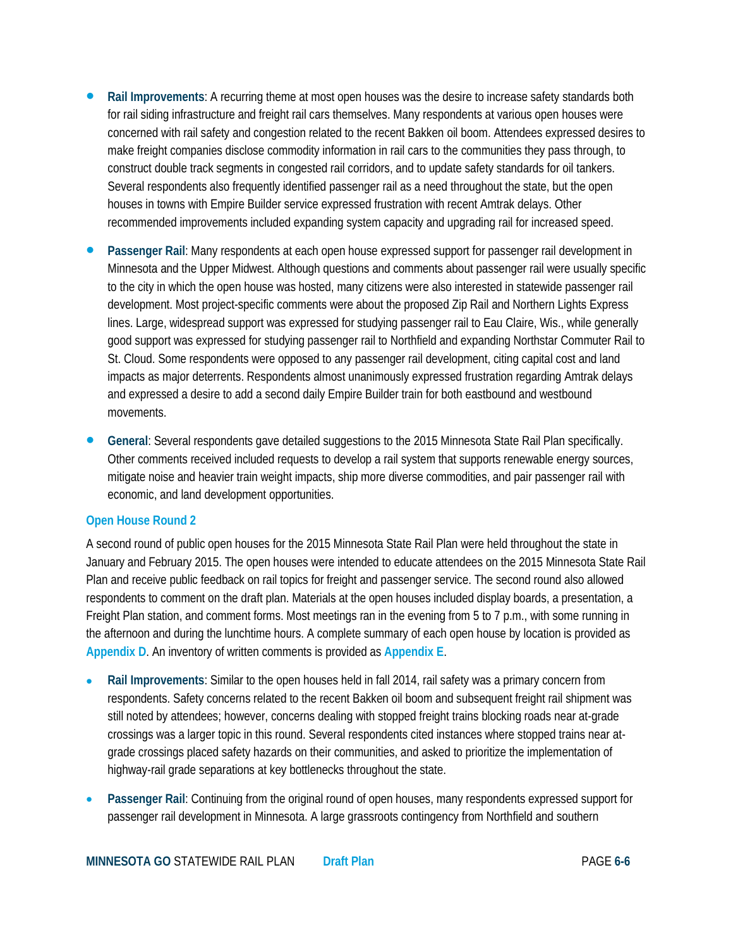- **Rail Improvements**: A recurring theme at most open houses was the desire to increase safety standards both for rail siding infrastructure and freight rail cars themselves. Many respondents at various open houses were concerned with rail safety and congestion related to the recent Bakken oil boom. Attendees expressed desires to make freight companies disclose commodity information in rail cars to the communities they pass through, to construct double track segments in congested rail corridors, and to update safety standards for oil tankers. Several respondents also frequently identified passenger rail as a need throughout the state, but the open houses in towns with Empire Builder service expressed frustration with recent Amtrak delays. Other recommended improvements included expanding system capacity and upgrading rail for increased speed.
- **Passenger Rail**: Many respondents at each open house expressed support for passenger rail development in Minnesota and the Upper Midwest. Although questions and comments about passenger rail were usually specific to the city in which the open house was hosted, many citizens were also interested in statewide passenger rail development. Most project-specific comments were about the proposed Zip Rail and Northern Lights Express lines. Large, widespread support was expressed for studying passenger rail to Eau Claire, Wis., while generally good support was expressed for studying passenger rail to Northfield and expanding Northstar Commuter Rail to St. Cloud. Some respondents were opposed to any passenger rail development, citing capital cost and land impacts as major deterrents. Respondents almost unanimously expressed frustration regarding Amtrak delays and expressed a desire to add a second daily Empire Builder train for both eastbound and westbound movements.
- **General**: Several respondents gave detailed suggestions to the 2015 Minnesota State Rail Plan specifically. Other comments received included requests to develop a rail system that supports renewable energy sources, mitigate noise and heavier train weight impacts, ship more diverse commodities, and pair passenger rail with economic, and land development opportunities.

#### **Open House Round 2**

A second round of public open houses for the 2015 Minnesota State Rail Plan were held throughout the state in January and February 2015. The open houses were intended to educate attendees on the 2015 Minnesota State Rail Plan and receive public feedback on rail topics for freight and passenger service. The second round also allowed respondents to comment on the draft plan. Materials at the open houses included display boards, a presentation, a Freight Plan station, and comment forms. Most meetings ran in the evening from 5 to 7 p.m., with some running in the afternoon and during the lunchtime hours. A complete summary of each open house by location is provided as **Appendix D**. An inventory of written comments is provided as **Appendix E**.

- **Rail Improvements**: Similar to the open houses held in fall 2014, rail safety was a primary concern from respondents. Safety concerns related to the recent Bakken oil boom and subsequent freight rail shipment was still noted by attendees; however, concerns dealing with stopped freight trains blocking roads near at-grade crossings was a larger topic in this round. Several respondents cited instances where stopped trains near atgrade crossings placed safety hazards on their communities, and asked to prioritize the implementation of highway-rail grade separations at key bottlenecks throughout the state.
- **Passenger Rail**: Continuing from the original round of open houses, many respondents expressed support for passenger rail development in Minnesota. A large grassroots contingency from Northfield and southern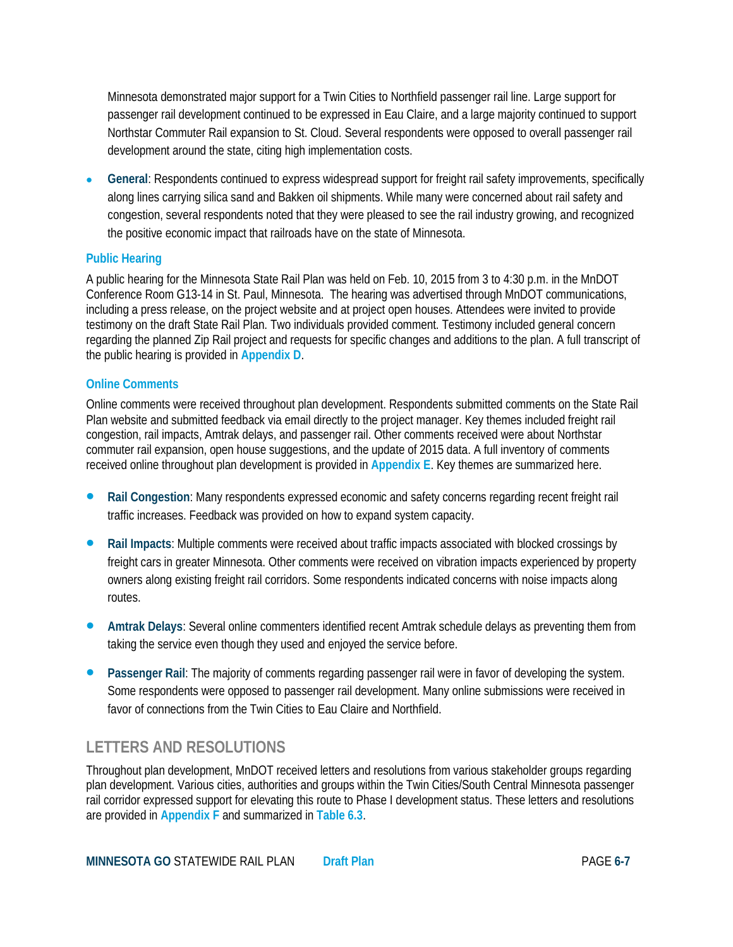Minnesota demonstrated major support for a Twin Cities to Northfield passenger rail line. Large support for passenger rail development continued to be expressed in Eau Claire, and a large majority continued to support Northstar Commuter Rail expansion to St. Cloud. Several respondents were opposed to overall passenger rail development around the state, citing high implementation costs.

• **General**: Respondents continued to express widespread support for freight rail safety improvements, specifically along lines carrying silica sand and Bakken oil shipments. While many were concerned about rail safety and congestion, several respondents noted that they were pleased to see the rail industry growing, and recognized the positive economic impact that railroads have on the state of Minnesota.

#### **Public Hearing**

A public hearing for the Minnesota State Rail Plan was held on Feb. 10, 2015 from 3 to 4:30 p.m. in the MnDOT Conference Room G13-14 in St. Paul, Minnesota. The hearing was advertised through MnDOT communications, including a press release, on the project website and at project open houses. Attendees were invited to provide testimony on the draft State Rail Plan. Two individuals provided comment. Testimony included general concern regarding the planned Zip Rail project and requests for specific changes and additions to the plan. A full transcript of the public hearing is provided in **Appendix D**.

#### **Online Comments**

Online comments were received throughout plan development. Respondents submitted comments on the State Rail Plan website and submitted feedback via email directly to the project manager. Key themes included freight rail congestion, rail impacts, Amtrak delays, and passenger rail. Other comments received were about Northstar commuter rail expansion, open house suggestions, and the update of 2015 data. A full inventory of comments received online throughout plan development is provided in **Appendix E**. Key themes are summarized here.

- **Rail Congestion**: Many respondents expressed economic and safety concerns regarding recent freight rail traffic increases. Feedback was provided on how to expand system capacity.
- **Rail Impacts**: Multiple comments were received about traffic impacts associated with blocked crossings by freight cars in greater Minnesota. Other comments were received on vibration impacts experienced by property owners along existing freight rail corridors. Some respondents indicated concerns with noise impacts along routes.
- **Amtrak Delays**: Several online commenters identified recent Amtrak schedule delays as preventing them from taking the service even though they used and enjoyed the service before.
- **Passenger Rail**: The majority of comments regarding passenger rail were in favor of developing the system. Some respondents were opposed to passenger rail development. Many online submissions were received in favor of connections from the Twin Cities to Eau Claire and Northfield.

# **LETTERS AND RESOLUTIONS**

Throughout plan development, MnDOT received letters and resolutions from various stakeholder groups regarding plan development. Various cities, authorities and groups within the Twin Cities/South Central Minnesota passenger rail corridor expressed support for elevating this route to Phase I development status. These letters and resolutions are provided in **Appendix F** and summarized in **Table 6.3**.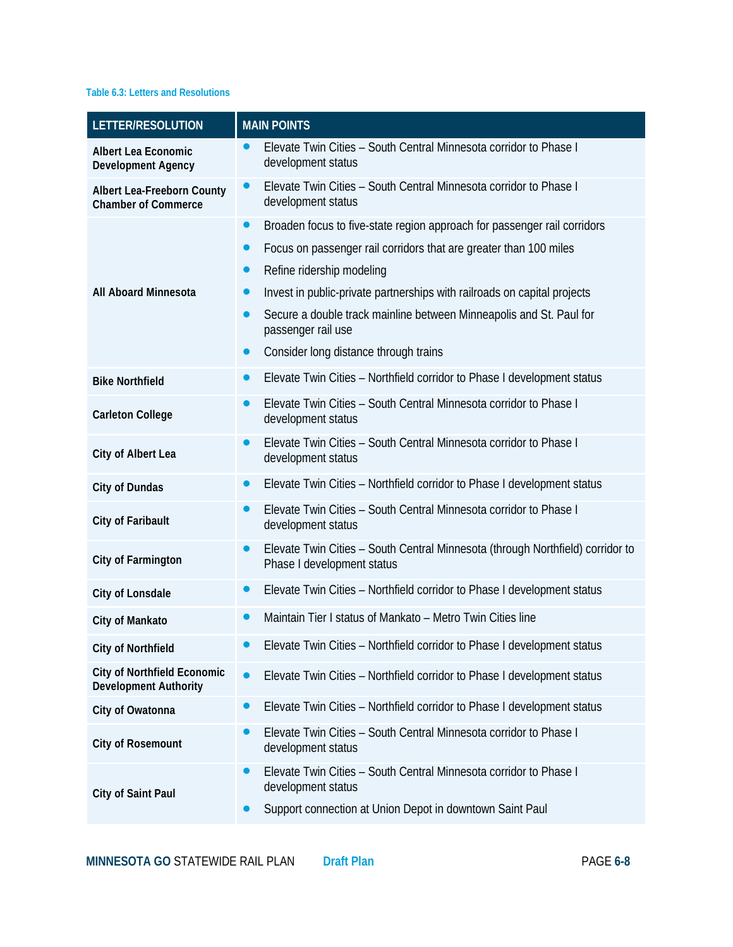#### **Table 6.3: Letters and Resolutions**

| LETTER/RESOLUTION                                                  | <b>MAIN POINTS</b>                                                                                                        |
|--------------------------------------------------------------------|---------------------------------------------------------------------------------------------------------------------------|
| <b>Albert Lea Economic</b><br><b>Development Agency</b>            | Elevate Twin Cities - South Central Minnesota corridor to Phase I<br>$\bullet$<br>development status                      |
| Albert Lea-Freeborn County<br><b>Chamber of Commerce</b>           | Elevate Twin Cities - South Central Minnesota corridor to Phase I<br>$\bullet$<br>development status                      |
|                                                                    | Broaden focus to five-state region approach for passenger rail corridors<br>$\bullet$                                     |
|                                                                    | Focus on passenger rail corridors that are greater than 100 miles<br>$\bullet$                                            |
|                                                                    | Refine ridership modeling<br>$\bullet$                                                                                    |
| <b>All Aboard Minnesota</b>                                        | Invest in public-private partnerships with railroads on capital projects<br>●                                             |
|                                                                    | Secure a double track mainline between Minneapolis and St. Paul for<br>$\bullet$<br>passenger rail use                    |
|                                                                    | Consider long distance through trains<br>$\bullet$                                                                        |
| <b>Bike Northfield</b>                                             | Elevate Twin Cities - Northfield corridor to Phase I development status<br>$\bullet$                                      |
| <b>Carleton College</b>                                            | Elevate Twin Cities - South Central Minnesota corridor to Phase I<br>$\bullet$<br>development status                      |
| City of Albert Lea                                                 | Elevate Twin Cities - South Central Minnesota corridor to Phase I<br>$\bullet$<br>development status                      |
| City of Dundas                                                     | Elevate Twin Cities - Northfield corridor to Phase I development status<br>$\bullet$                                      |
| City of Faribault                                                  | Elevate Twin Cities - South Central Minnesota corridor to Phase I<br>$\bullet$<br>development status                      |
| <b>City of Farmington</b>                                          | Elevate Twin Cities - South Central Minnesota (through Northfield) corridor to<br>$\bullet$<br>Phase I development status |
| City of Lonsdale                                                   | Elevate Twin Cities - Northfield corridor to Phase I development status<br>$\bullet$                                      |
| City of Mankato                                                    | Maintain Tier I status of Mankato - Metro Twin Cities line<br>$\bullet$                                                   |
| <b>City of Northfield</b>                                          | Elevate Twin Cities - Northfield corridor to Phase I development status                                                   |
| <b>City of Northfield Economic</b><br><b>Development Authority</b> | Elevate Twin Cities - Northfield corridor to Phase I development status<br>$\bullet$                                      |
| City of Owatonna                                                   | Elevate Twin Cities - Northfield corridor to Phase I development status<br>$\bullet$                                      |
| <b>City of Rosemount</b>                                           | Elevate Twin Cities - South Central Minnesota corridor to Phase I<br>$\bullet$<br>development status                      |
| City of Saint Paul                                                 | Elevate Twin Cities - South Central Minnesota corridor to Phase I<br>$\bullet$<br>development status                      |
|                                                                    | Support connection at Union Depot in downtown Saint Paul                                                                  |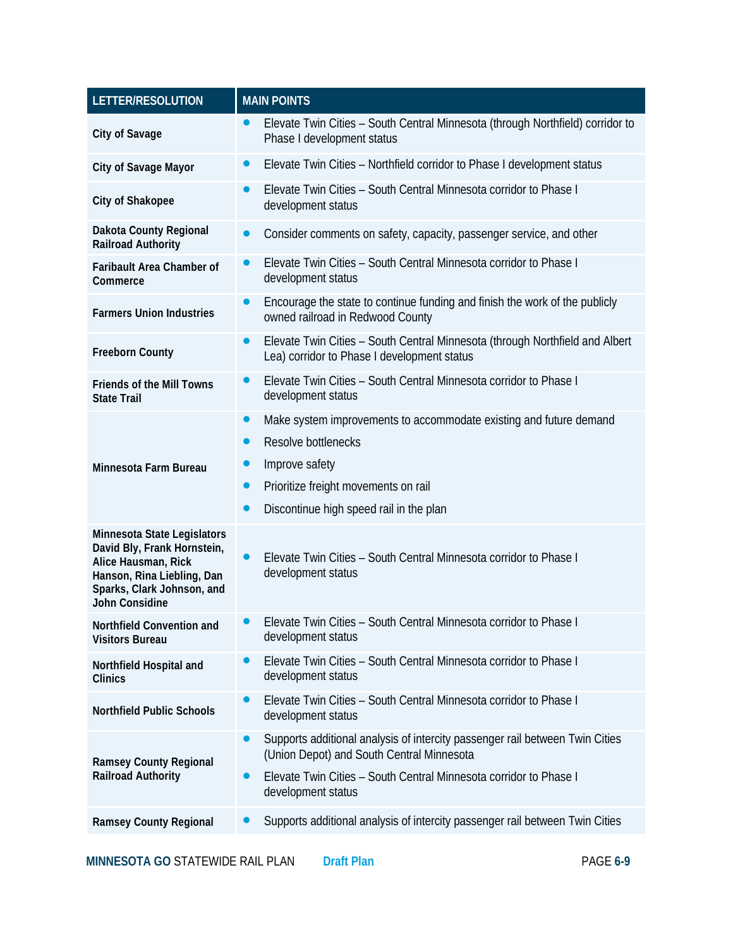| LETTER/RESOLUTION                                                                                                                                               | <b>MAIN POINTS</b>                                                                                                                                                                                                            |  |
|-----------------------------------------------------------------------------------------------------------------------------------------------------------------|-------------------------------------------------------------------------------------------------------------------------------------------------------------------------------------------------------------------------------|--|
| City of Savage                                                                                                                                                  | Elevate Twin Cities - South Central Minnesota (through Northfield) corridor to<br>$\bullet$<br>Phase I development status                                                                                                     |  |
| City of Savage Mayor                                                                                                                                            | Elevate Twin Cities - Northfield corridor to Phase I development status<br>0                                                                                                                                                  |  |
| <b>City of Shakopee</b>                                                                                                                                         | Elevate Twin Cities - South Central Minnesota corridor to Phase I<br>O<br>development status                                                                                                                                  |  |
| Dakota County Regional<br><b>Railroad Authority</b>                                                                                                             | Consider comments on safety, capacity, passenger service, and other<br>$\bullet$                                                                                                                                              |  |
| Faribault Area Chamber of<br>Commerce                                                                                                                           | Elevate Twin Cities - South Central Minnesota corridor to Phase I<br>development status                                                                                                                                       |  |
| <b>Farmers Union Industries</b>                                                                                                                                 | Encourage the state to continue funding and finish the work of the publicly<br>$\bullet$<br>owned railroad in Redwood County                                                                                                  |  |
| <b>Freeborn County</b>                                                                                                                                          | Elevate Twin Cities - South Central Minnesota (through Northfield and Albert<br>$\bullet$<br>Lea) corridor to Phase I development status                                                                                      |  |
| <b>Friends of the Mill Towns</b><br><b>State Trail</b>                                                                                                          | Elevate Twin Cities - South Central Minnesota corridor to Phase I<br>●<br>development status                                                                                                                                  |  |
| Minnesota Farm Bureau                                                                                                                                           | Make system improvements to accommodate existing and future demand<br>$\bullet$<br>Resolve bottlenecks<br>$\bullet$<br>Improve safety<br>Prioritize freight movements on rail<br>Discontinue high speed rail in the plan<br>O |  |
| Minnesota State Legislators<br>David Bly, Frank Hornstein,<br>Alice Hausman, Rick<br>Hanson, Rina Liebling, Dan<br>Sparks, Clark Johnson, and<br>John Considine | Elevate Twin Cities - South Central Minnesota corridor to Phase I<br>development status                                                                                                                                       |  |
| Northfield Convention and<br><b>Visitors Bureau</b>                                                                                                             | Elevate Twin Cities - South Central Minnesota corridor to Phase I<br>development status                                                                                                                                       |  |
| Northfield Hospital and<br><b>Clinics</b>                                                                                                                       | Elevate Twin Cities - South Central Minnesota corridor to Phase I<br>●<br>development status                                                                                                                                  |  |
| <b>Northfield Public Schools</b>                                                                                                                                | Elevate Twin Cities - South Central Minnesota corridor to Phase I<br>development status                                                                                                                                       |  |
| <b>Ramsey County Regional</b>                                                                                                                                   | Supports additional analysis of intercity passenger rail between Twin Cities<br>$\bullet$<br>(Union Depot) and South Central Minnesota                                                                                        |  |
| <b>Railroad Authority</b>                                                                                                                                       | Elevate Twin Cities - South Central Minnesota corridor to Phase I<br>$\bullet$<br>development status                                                                                                                          |  |
| <b>Ramsey County Regional</b>                                                                                                                                   | Supports additional analysis of intercity passenger rail between Twin Cities<br>●                                                                                                                                             |  |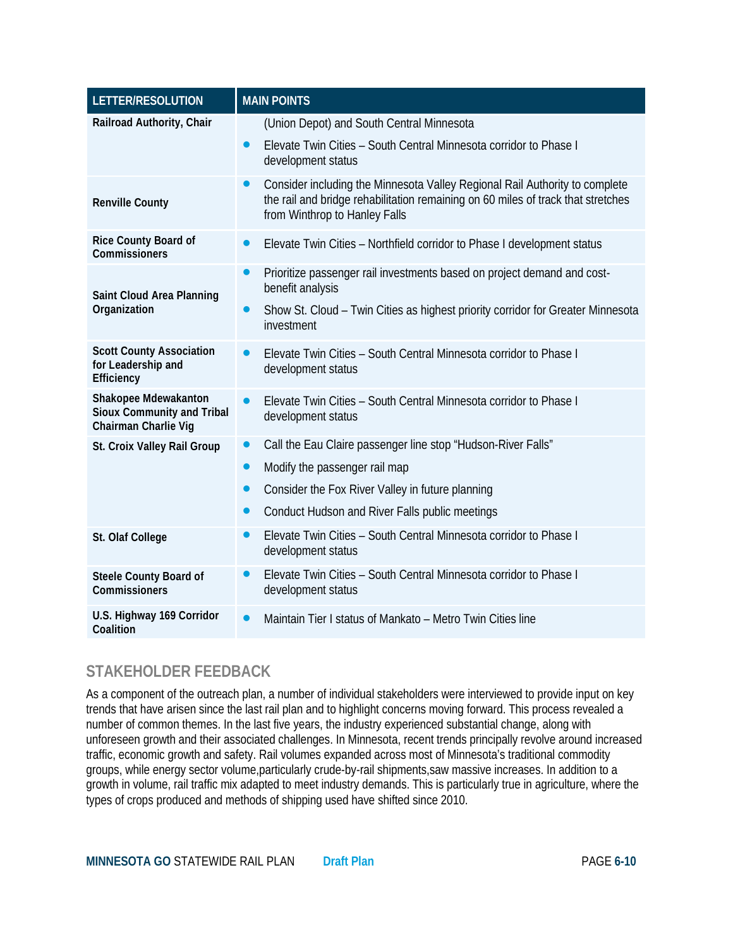| LETTER/RESOLUTION                                                                 | <b>MAIN POINTS</b>                                                                                                                                                                               |
|-----------------------------------------------------------------------------------|--------------------------------------------------------------------------------------------------------------------------------------------------------------------------------------------------|
| Railroad Authority, Chair                                                         | (Union Depot) and South Central Minnesota                                                                                                                                                        |
|                                                                                   | Elevate Twin Cities - South Central Minnesota corridor to Phase I<br>$\bullet$<br>development status                                                                                             |
| <b>Renville County</b>                                                            | Consider including the Minnesota Valley Regional Rail Authority to complete<br>the rail and bridge rehabilitation remaining on 60 miles of track that stretches<br>from Winthrop to Hanley Falls |
| <b>Rice County Board of</b><br>Commissioners                                      | Elevate Twin Cities - Northfield corridor to Phase I development status<br>$\bullet$                                                                                                             |
| <b>Saint Cloud Area Planning</b>                                                  | Prioritize passenger rail investments based on project demand and cost-<br>$\bullet$<br>benefit analysis                                                                                         |
| Organization                                                                      | Show St. Cloud - Twin Cities as highest priority corridor for Greater Minnesota<br>$\bullet$<br>investment                                                                                       |
| <b>Scott County Association</b><br>for Leadership and<br>Efficiency               | Elevate Twin Cities - South Central Minnesota corridor to Phase I<br>development status                                                                                                          |
| Shakopee Mdewakanton<br><b>Sioux Community and Tribal</b><br>Chairman Charlie Vig | Elevate Twin Cities - South Central Minnesota corridor to Phase I<br>$\bullet$<br>development status                                                                                             |
| St. Croix Valley Rail Group                                                       | Call the Eau Claire passenger line stop "Hudson-River Falls"<br>$\bullet$                                                                                                                        |
|                                                                                   | Modify the passenger rail map<br>$\bullet$                                                                                                                                                       |
|                                                                                   | Consider the Fox River Valley in future planning<br>$\bullet$                                                                                                                                    |
|                                                                                   | Conduct Hudson and River Falls public meetings<br>$\bullet$                                                                                                                                      |
| St. Olaf College                                                                  | Elevate Twin Cities - South Central Minnesota corridor to Phase I<br>development status                                                                                                          |
| Steele County Board of<br>Commissioners                                           | Elevate Twin Cities - South Central Minnesota corridor to Phase I<br>$\bullet$<br>development status                                                                                             |
| U.S. Highway 169 Corridor<br>Coalition                                            | Maintain Tier I status of Mankato - Metro Twin Cities line<br>$\bullet$                                                                                                                          |

# **STAKEHOLDER FEEDBACK**

As a component of the outreach plan, a number of individual stakeholders were interviewed to provide input on key trends that have arisen since the last rail plan and to highlight concerns moving forward. This process revealed a number of common themes. In the last five years, the industry experienced substantial change, along with unforeseen growth and their associated challenges. In Minnesota, recent trends principally revolve around increased traffic, economic growth and safety. Rail volumes expanded across most of Minnesota's traditional commodity groups, while energy sector volume,particularly crude-by-rail shipments,saw massive increases. In addition to a growth in volume, rail traffic mix adapted to meet industry demands. This is particularly true in agriculture, where the types of crops produced and methods of shipping used have shifted since 2010.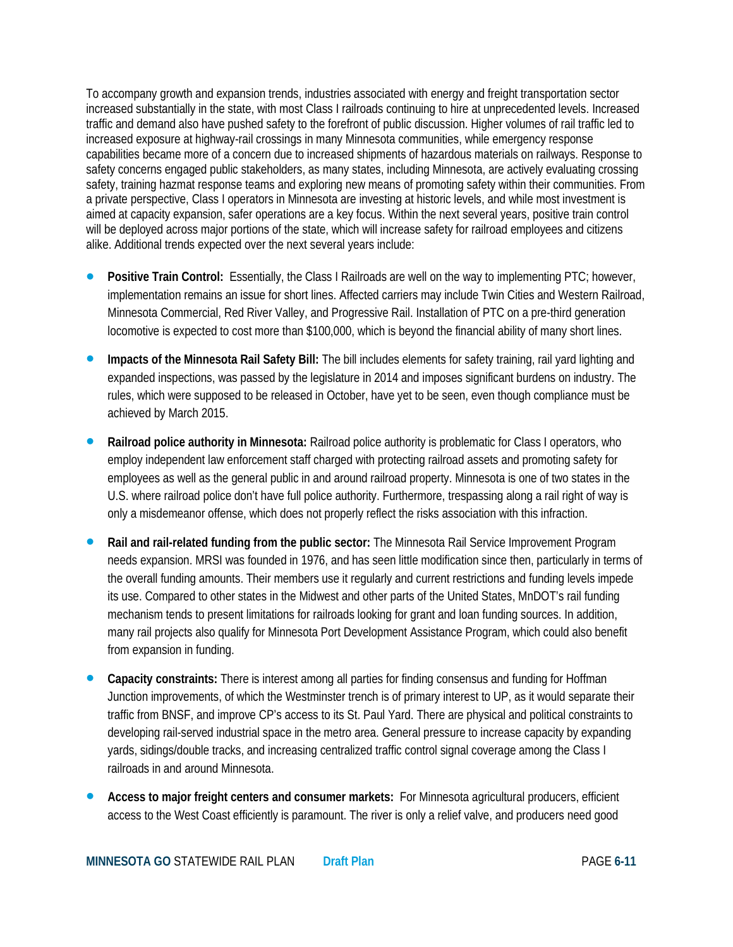To accompany growth and expansion trends, industries associated with energy and freight transportation sector increased substantially in the state, with most Class I railroads continuing to hire at unprecedented levels. Increased traffic and demand also have pushed safety to the forefront of public discussion. Higher volumes of rail traffic led to increased exposure at highway-rail crossings in many Minnesota communities, while emergency response capabilities became more of a concern due to increased shipments of hazardous materials on railways. Response to safety concerns engaged public stakeholders, as many states, including Minnesota, are actively evaluating crossing safety, training hazmat response teams and exploring new means of promoting safety within their communities. From a private perspective, Class I operators in Minnesota are investing at historic levels, and while most investment is aimed at capacity expansion, safer operations are a key focus. Within the next several years, positive train control will be deployed across major portions of the state, which will increase safety for railroad employees and citizens alike. Additional trends expected over the next several years include:

- **Positive Train Control:** Essentially, the Class I Railroads are well on the way to implementing PTC; however, implementation remains an issue for short lines. Affected carriers may include Twin Cities and Western Railroad, Minnesota Commercial, Red River Valley, and Progressive Rail. Installation of PTC on a pre-third generation locomotive is expected to cost more than \$100,000, which is beyond the financial ability of many short lines.
- **Impacts of the Minnesota Rail Safety Bill:** The bill includes elements for safety training, rail yard lighting and expanded inspections, was passed by the legislature in 2014 and imposes significant burdens on industry. The rules, which were supposed to be released in October, have yet to be seen, even though compliance must be achieved by March 2015.
- **Railroad police authority in Minnesota:** Railroad police authority is problematic for Class I operators, who employ independent law enforcement staff charged with protecting railroad assets and promoting safety for employees as well as the general public in and around railroad property. Minnesota is one of two states in the U.S. where railroad police don't have full police authority. Furthermore, trespassing along a rail right of way is only a misdemeanor offense, which does not properly reflect the risks association with this infraction.
- **Rail and rail-related funding from the public sector:** The Minnesota Rail Service Improvement Program needs expansion. MRSI was founded in 1976, and has seen little modification since then, particularly in terms of the overall funding amounts. Their members use it regularly and current restrictions and funding levels impede its use. Compared to other states in the Midwest and other parts of the United States, MnDOT's rail funding mechanism tends to present limitations for railroads looking for grant and loan funding sources. In addition, many rail projects also qualify for Minnesota Port Development Assistance Program, which could also benefit from expansion in funding.
- **Capacity constraints:** There is interest among all parties for finding consensus and funding for Hoffman Junction improvements, of which the Westminster trench is of primary interest to UP, as it would separate their traffic from BNSF, and improve CP's access to its St. Paul Yard. There are physical and political constraints to developing rail-served industrial space in the metro area. General pressure to increase capacity by expanding yards, sidings/double tracks, and increasing centralized traffic control signal coverage among the Class I railroads in and around Minnesota.
- **Access to major freight centers and consumer markets:** For Minnesota agricultural producers, efficient access to the West Coast efficiently is paramount. The river is only a relief valve, and producers need good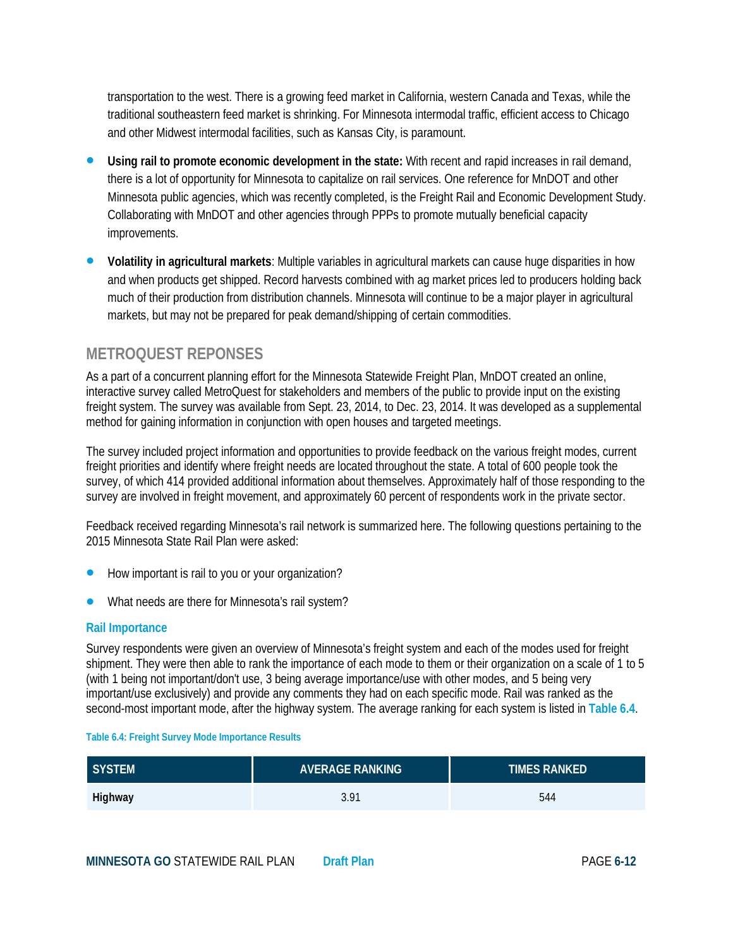transportation to the west. There is a growing feed market in California, western Canada and Texas, while the traditional southeastern feed market is shrinking. For Minnesota intermodal traffic, efficient access to Chicago and other Midwest intermodal facilities, such as Kansas City, is paramount.

- **Using rail to promote economic development in the state:** With recent and rapid increases in rail demand, there is a lot of opportunity for Minnesota to capitalize on rail services. One reference for MnDOT and other Minnesota public agencies, which was recently completed, is the Freight Rail and Economic Development Study. Collaborating with MnDOT and other agencies through PPPs to promote mutually beneficial capacity improvements.
- **Volatility in agricultural markets**: Multiple variables in agricultural markets can cause huge disparities in how and when products get shipped. Record harvests combined with ag market prices led to producers holding back much of their production from distribution channels. Minnesota will continue to be a major player in agricultural markets, but may not be prepared for peak demand/shipping of certain commodities.

# **METROQUEST REPONSES**

As a part of a concurrent planning effort for the Minnesota Statewide Freight Plan, MnDOT created an online, interactive survey called MetroQuest for stakeholders and members of the public to provide input on the existing freight system. The survey was available from Sept. 23, 2014, to Dec. 23, 2014. It was developed as a supplemental method for gaining information in conjunction with open houses and targeted meetings.

The survey included project information and opportunities to provide feedback on the various freight modes, current freight priorities and identify where freight needs are located throughout the state. A total of 600 people took the survey, of which 414 provided additional information about themselves. Approximately half of those responding to the survey are involved in freight movement, and approximately 60 percent of respondents work in the private sector.

Feedback received regarding Minnesota's rail network is summarized here. The following questions pertaining to the 2015 Minnesota State Rail Plan were asked:

- How important is rail to you or your organization?
- What needs are there for Minnesota's rail system?

#### **Rail Importance**

Survey respondents were given an overview of Minnesota's freight system and each of the modes used for freight shipment. They were then able to rank the importance of each mode to them or their organization on a scale of 1 to 5 (with 1 being not important/don't use, 3 being average importance/use with other modes, and 5 being very important/use exclusively) and provide any comments they had on each specific mode. Rail was ranked as the second-most important mode, after the highway system. The average ranking for each system is listed in **Table 6.4**.

#### **Table 6.4: Freight Survey Mode Importance Results**

| SYSTEM  | <b>AVERAGE RANKING</b> | TIMES RANKED' |
|---------|------------------------|---------------|
| Highway | 3.91                   | 544           |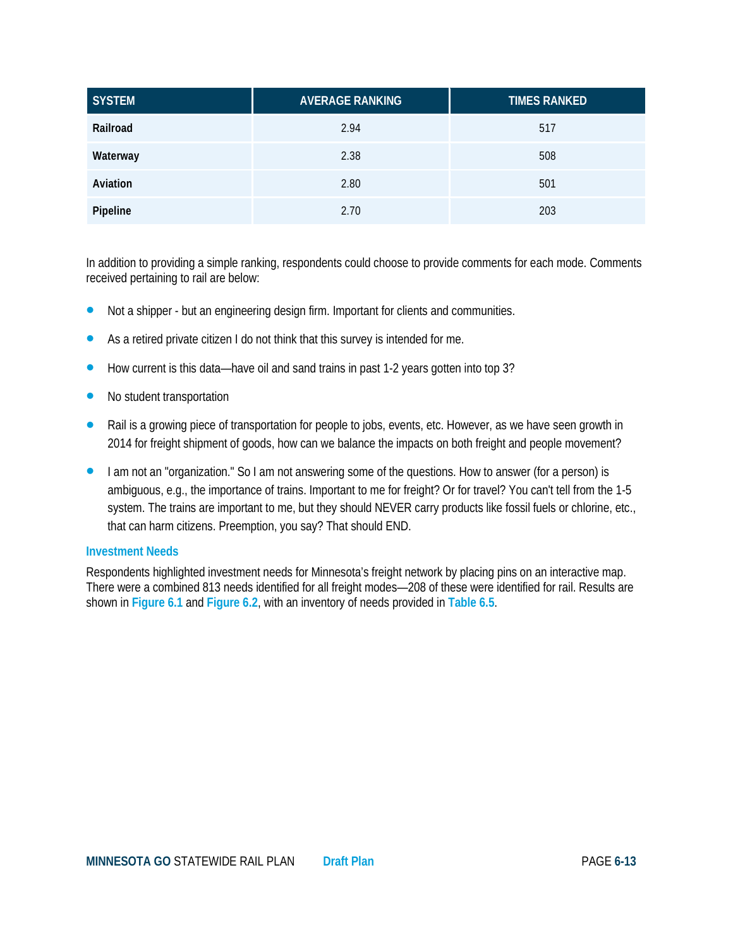| <b>SYSTEM</b> | <b>AVERAGE RANKING</b> | <b>TIMES RANKED</b> |
|---------------|------------------------|---------------------|
| Railroad      | 2.94                   | 517                 |
| Waterway      | 2.38                   | 508                 |
| Aviation      | 2.80                   | 501                 |
| Pipeline      | 2.70                   | 203                 |

In addition to providing a simple ranking, respondents could choose to provide comments for each mode. Comments received pertaining to rail are below:

- Not a shipper but an engineering design firm. Important for clients and communities.
- As a retired private citizen I do not think that this survey is intended for me.
- How current is this data—have oil and sand trains in past 1-2 years gotten into top 3?
- No student transportation
- Rail is a growing piece of transportation for people to jobs, events, etc. However, as we have seen growth in 2014 for freight shipment of goods, how can we balance the impacts on both freight and people movement?
- I am not an "organization." So I am not answering some of the questions. How to answer (for a person) is ambiguous, e.g., the importance of trains. Important to me for freight? Or for travel? You can't tell from the 1-5 system. The trains are important to me, but they should NEVER carry products like fossil fuels or chlorine, etc., that can harm citizens. Preemption, you say? That should END.

#### **Investment Needs**

Respondents highlighted investment needs for Minnesota's freight network by placing pins on an interactive map. There were a combined 813 needs identified for all freight modes—208 of these were identified for rail. Results are shown in **Figure 6.1** and **Figure 6.2**, with an inventory of needs provided in **Table 6.5**.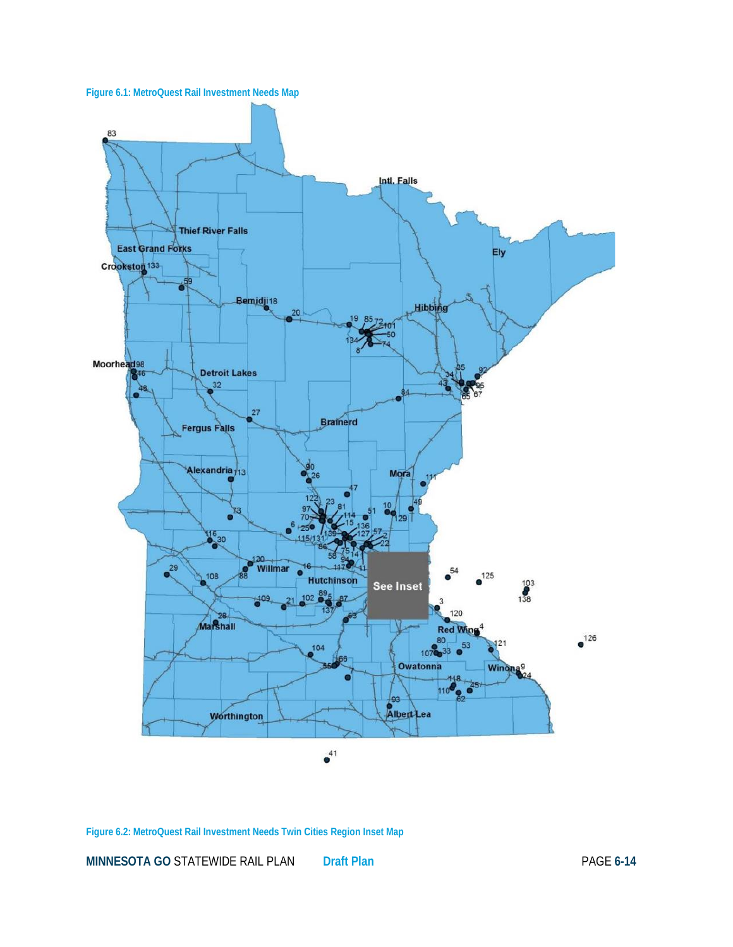



#### **Figure 6.2: MetroQuest Rail Investment Needs Twin Cities Region Inset Map**

**MINNESOTA GO** STATEWIDE RAIL PLAN **Draft Plan** PAGE **6-14**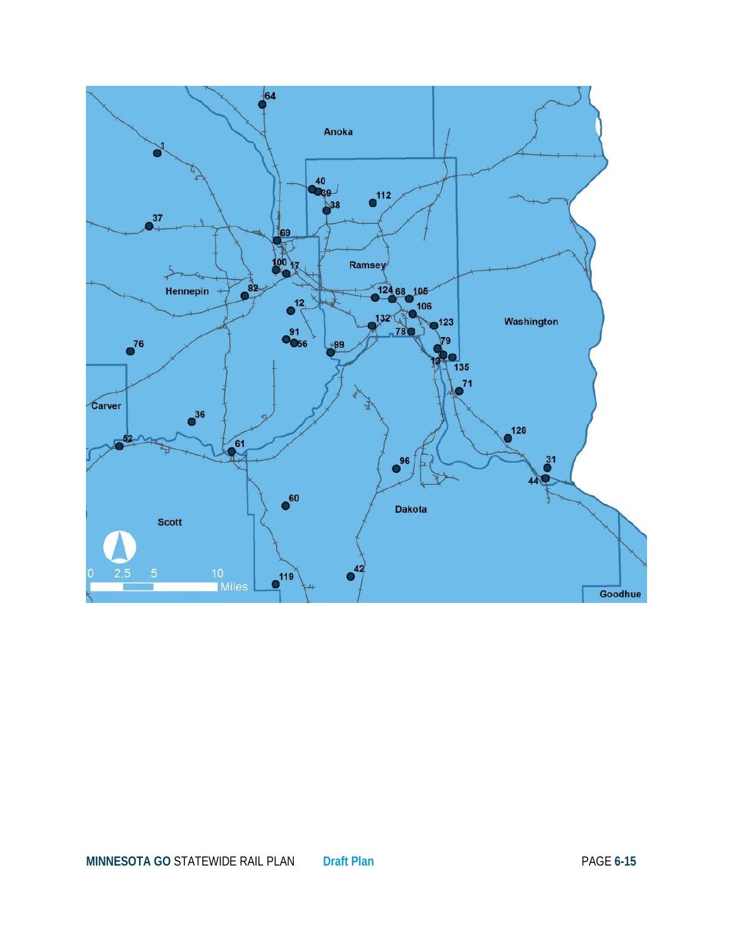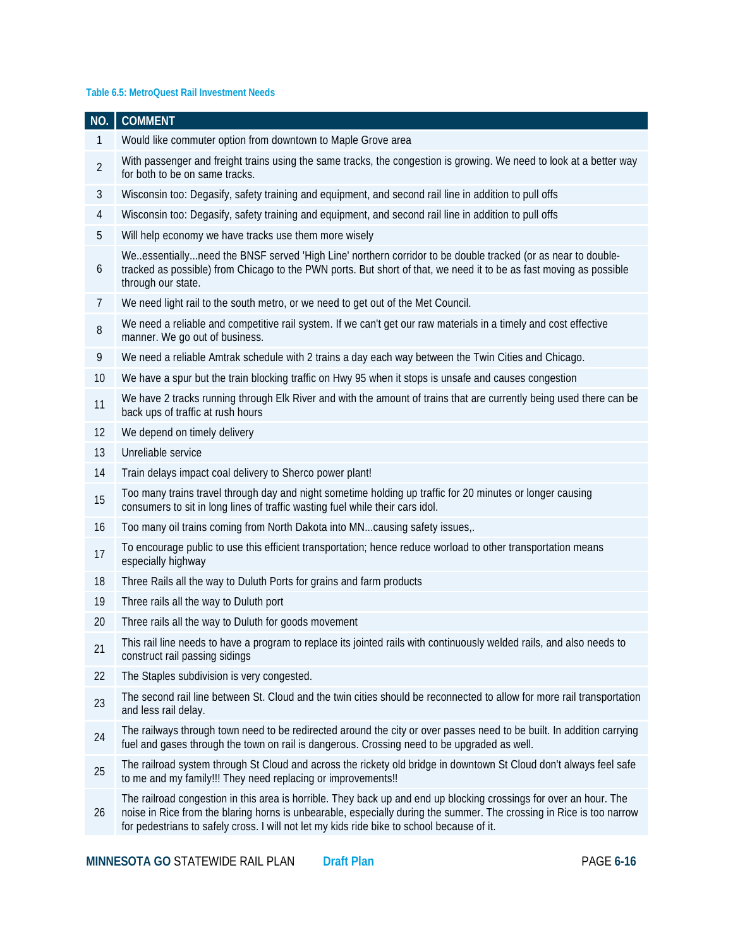#### **Table 6.5: MetroQuest Rail Investment Needs**

| NO.            | <b>COMMENT</b>                                                                                                                                                                                                                                                                                                                           |
|----------------|------------------------------------------------------------------------------------------------------------------------------------------------------------------------------------------------------------------------------------------------------------------------------------------------------------------------------------------|
| 1              | Would like commuter option from downtown to Maple Grove area                                                                                                                                                                                                                                                                             |
| $\overline{2}$ | With passenger and freight trains using the same tracks, the congestion is growing. We need to look at a better way<br>for both to be on same tracks.                                                                                                                                                                                    |
| 3              | Wisconsin too: Degasify, safety training and equipment, and second rail line in addition to pull offs                                                                                                                                                                                                                                    |
| $\overline{4}$ | Wisconsin too: Degasify, safety training and equipment, and second rail line in addition to pull offs                                                                                                                                                                                                                                    |
| 5              | Will help economy we have tracks use them more wisely                                                                                                                                                                                                                                                                                    |
| 6              | Weessentiallyneed the BNSF served 'High Line' northern corridor to be double tracked (or as near to double-<br>tracked as possible) from Chicago to the PWN ports. But short of that, we need it to be as fast moving as possible<br>through our state.                                                                                  |
| 7              | We need light rail to the south metro, or we need to get out of the Met Council.                                                                                                                                                                                                                                                         |
| 8              | We need a reliable and competitive rail system. If we can't get our raw materials in a timely and cost effective<br>manner. We go out of business.                                                                                                                                                                                       |
| 9              | We need a reliable Amtrak schedule with 2 trains a day each way between the Twin Cities and Chicago.                                                                                                                                                                                                                                     |
| 10             | We have a spur but the train blocking traffic on Hwy 95 when it stops is unsafe and causes congestion                                                                                                                                                                                                                                    |
| 11             | We have 2 tracks running through Elk River and with the amount of trains that are currently being used there can be<br>back ups of traffic at rush hours                                                                                                                                                                                 |
| 12             | We depend on timely delivery                                                                                                                                                                                                                                                                                                             |
| 13             | Unreliable service                                                                                                                                                                                                                                                                                                                       |
| 14             | Train delays impact coal delivery to Sherco power plant!                                                                                                                                                                                                                                                                                 |
| 15             | Too many trains travel through day and night sometime holding up traffic for 20 minutes or longer causing<br>consumers to sit in long lines of traffic wasting fuel while their cars idol.                                                                                                                                               |
| 16             | Too many oil trains coming from North Dakota into MN causing safety issues,.                                                                                                                                                                                                                                                             |
| 17             | To encourage public to use this efficient transportation; hence reduce worload to other transportation means<br>especially highway                                                                                                                                                                                                       |
| 18             | Three Rails all the way to Duluth Ports for grains and farm products                                                                                                                                                                                                                                                                     |
| 19             | Three rails all the way to Duluth port                                                                                                                                                                                                                                                                                                   |
| 20             | Three rails all the way to Duluth for goods movement                                                                                                                                                                                                                                                                                     |
| 21             | This rail line needs to have a program to replace its jointed rails with continuously welded rails, and also needs to<br>construct rail passing sidings                                                                                                                                                                                  |
| 22             | The Staples subdivision is very congested.                                                                                                                                                                                                                                                                                               |
| 23             | The second rail line between St. Cloud and the twin cities should be reconnected to allow for more rail transportation<br>and less rail delay.                                                                                                                                                                                           |
| 24             | The railways through town need to be redirected around the city or over passes need to be built. In addition carrying<br>fuel and gases through the town on rail is dangerous. Crossing need to be upgraded as well.                                                                                                                     |
| 25             | The railroad system through St Cloud and across the rickety old bridge in downtown St Cloud don't always feel safe<br>to me and my family!!! They need replacing or improvements!!                                                                                                                                                       |
| 26             | The railroad congestion in this area is horrible. They back up and end up blocking crossings for over an hour. The<br>noise in Rice from the blaring horns is unbearable, especially during the summer. The crossing in Rice is too narrow<br>for pedestrians to safely cross. I will not let my kids ride bike to school because of it. |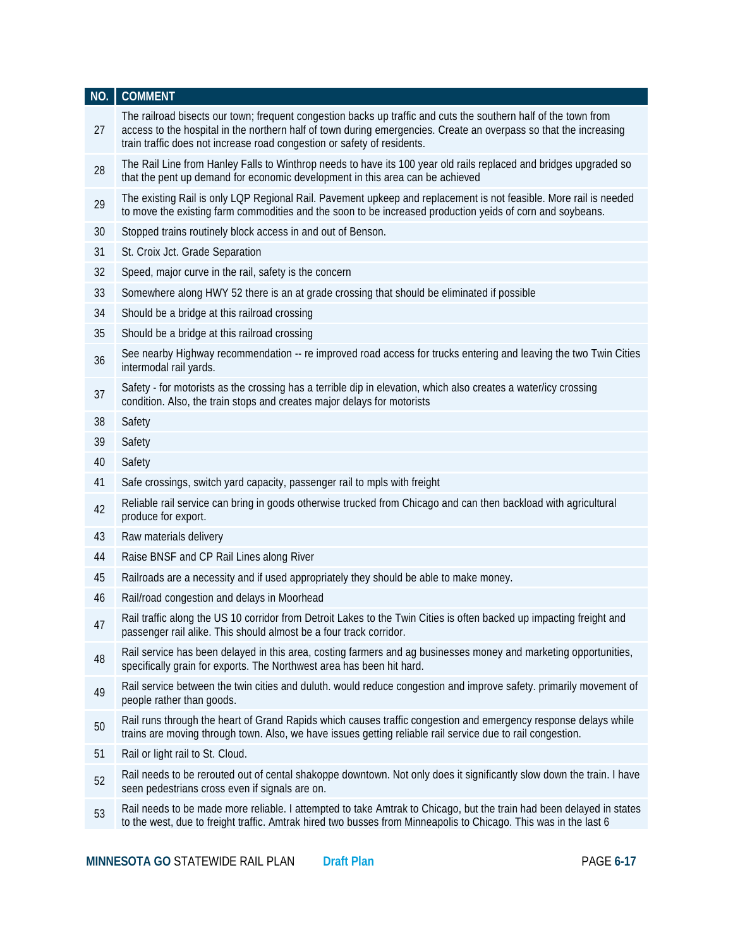| NO. | <b>COMMENT</b>                                                                                                                                                                                                                                                                                                  |
|-----|-----------------------------------------------------------------------------------------------------------------------------------------------------------------------------------------------------------------------------------------------------------------------------------------------------------------|
| 27  | The railroad bisects our town; frequent congestion backs up traffic and cuts the southern half of the town from<br>access to the hospital in the northern half of town during emergencies. Create an overpass so that the increasing<br>train traffic does not increase road congestion or safety of residents. |
| 28  | The Rail Line from Hanley Falls to Winthrop needs to have its 100 year old rails replaced and bridges upgraded so<br>that the pent up demand for economic development in this area can be achieved                                                                                                              |
| 29  | The existing Rail is only LQP Regional Rail. Pavement upkeep and replacement is not feasible. More rail is needed<br>to move the existing farm commodities and the soon to be increased production yeids of corn and soybeans.                                                                                  |
| 30  | Stopped trains routinely block access in and out of Benson.                                                                                                                                                                                                                                                     |
| 31  | St. Croix Jct. Grade Separation                                                                                                                                                                                                                                                                                 |
| 32  | Speed, major curve in the rail, safety is the concern                                                                                                                                                                                                                                                           |
| 33  | Somewhere along HWY 52 there is an at grade crossing that should be eliminated if possible                                                                                                                                                                                                                      |
| 34  | Should be a bridge at this railroad crossing                                                                                                                                                                                                                                                                    |
| 35  | Should be a bridge at this railroad crossing                                                                                                                                                                                                                                                                    |
| 36  | See nearby Highway recommendation -- re improved road access for trucks entering and leaving the two Twin Cities<br>intermodal rail yards.                                                                                                                                                                      |
| 37  | Safety - for motorists as the crossing has a terrible dip in elevation, which also creates a water/icy crossing<br>condition. Also, the train stops and creates major delays for motorists                                                                                                                      |
| 38  | Safety                                                                                                                                                                                                                                                                                                          |
| 39  | Safety                                                                                                                                                                                                                                                                                                          |
| 40  | Safety                                                                                                                                                                                                                                                                                                          |
| 41  | Safe crossings, switch yard capacity, passenger rail to mpls with freight                                                                                                                                                                                                                                       |
| 42  | Reliable rail service can bring in goods otherwise trucked from Chicago and can then backload with agricultural<br>produce for export.                                                                                                                                                                          |
| 43  | Raw materials delivery                                                                                                                                                                                                                                                                                          |
| 44  | Raise BNSF and CP Rail Lines along River                                                                                                                                                                                                                                                                        |
| 45  | Railroads are a necessity and if used appropriately they should be able to make money.                                                                                                                                                                                                                          |
| 46  | Rail/road congestion and delays in Moorhead                                                                                                                                                                                                                                                                     |
| 47  | Rail traffic along the US 10 corridor from Detroit Lakes to the Twin Cities is often backed up impacting freight and<br>passenger rail alike. This should almost be a four track corridor.                                                                                                                      |
| 48  | Rail service has been delayed in this area, costing farmers and ag businesses money and marketing opportunities,<br>specifically grain for exports. The Northwest area has been hit hard.                                                                                                                       |
| 49  | Rail service between the twin cities and duluth. would reduce congestion and improve safety, primarily movement of<br>people rather than goods.                                                                                                                                                                 |
| 50  | Rail runs through the heart of Grand Rapids which causes traffic congestion and emergency response delays while<br>trains are moving through town. Also, we have issues getting reliable rail service due to rail congestion.                                                                                   |
| 51  | Rail or light rail to St. Cloud.                                                                                                                                                                                                                                                                                |
| 52  | Rail needs to be rerouted out of cental shakoppe downtown. Not only does it significantly slow down the train. I have<br>seen pedestrians cross even if signals are on.                                                                                                                                         |
| 53  | Rail needs to be made more reliable. I attempted to take Amtrak to Chicago, but the train had been delayed in states<br>to the west, due to freight traffic. Amtrak hired two busses from Minneapolis to Chicago. This was in the last 6                                                                        |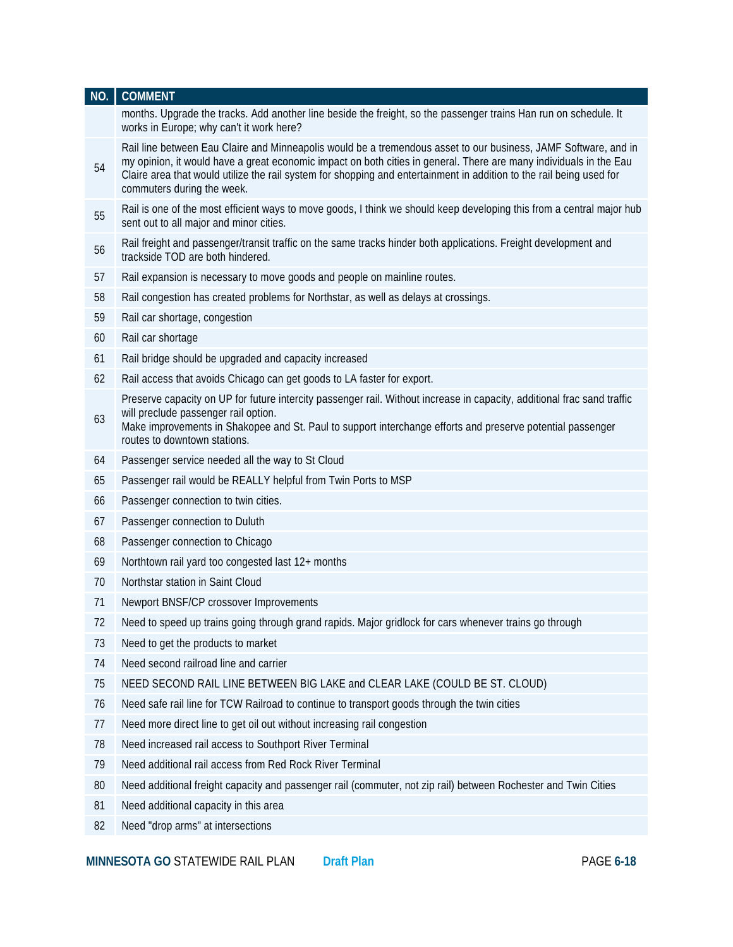| NO. | <b>COMMENT</b>                                                                                                                                                                                                                                                                                                                                                                              |
|-----|---------------------------------------------------------------------------------------------------------------------------------------------------------------------------------------------------------------------------------------------------------------------------------------------------------------------------------------------------------------------------------------------|
|     | months. Upgrade the tracks. Add another line beside the freight, so the passenger trains Han run on schedule. It<br>works in Europe; why can't it work here?                                                                                                                                                                                                                                |
| 54  | Rail line between Eau Claire and Minneapolis would be a tremendous asset to our business, JAMF Software, and in<br>my opinion, it would have a great economic impact on both cities in general. There are many individuals in the Eau<br>Claire area that would utilize the rail system for shopping and entertainment in addition to the rail being used for<br>commuters during the week. |
| 55  | Rail is one of the most efficient ways to move goods, I think we should keep developing this from a central major hub<br>sent out to all major and minor cities.                                                                                                                                                                                                                            |
| 56  | Rail freight and passenger/transit traffic on the same tracks hinder both applications. Freight development and<br>trackside TOD are both hindered.                                                                                                                                                                                                                                         |
| 57  | Rail expansion is necessary to move goods and people on mainline routes.                                                                                                                                                                                                                                                                                                                    |
| 58  | Rail congestion has created problems for Northstar, as well as delays at crossings.                                                                                                                                                                                                                                                                                                         |
| 59  | Rail car shortage, congestion                                                                                                                                                                                                                                                                                                                                                               |
| 60  | Rail car shortage                                                                                                                                                                                                                                                                                                                                                                           |
| 61  | Rail bridge should be upgraded and capacity increased                                                                                                                                                                                                                                                                                                                                       |
| 62  | Rail access that avoids Chicago can get goods to LA faster for export.                                                                                                                                                                                                                                                                                                                      |
| 63  | Preserve capacity on UP for future intercity passenger rail. Without increase in capacity, additional frac sand traffic<br>will preclude passenger rail option.<br>Make improvements in Shakopee and St. Paul to support interchange efforts and preserve potential passenger<br>routes to downtown stations.                                                                               |
| 64  | Passenger service needed all the way to St Cloud                                                                                                                                                                                                                                                                                                                                            |
| 65  | Passenger rail would be REALLY helpful from Twin Ports to MSP                                                                                                                                                                                                                                                                                                                               |
| 66  | Passenger connection to twin cities.                                                                                                                                                                                                                                                                                                                                                        |
| 67  | Passenger connection to Duluth                                                                                                                                                                                                                                                                                                                                                              |
| 68  | Passenger connection to Chicago                                                                                                                                                                                                                                                                                                                                                             |
| 69  | Northtown rail yard too congested last 12+ months                                                                                                                                                                                                                                                                                                                                           |
| 70  | Northstar station in Saint Cloud                                                                                                                                                                                                                                                                                                                                                            |
| 71  | Newport BNSF/CP crossover Improvements                                                                                                                                                                                                                                                                                                                                                      |
| 72  | Need to speed up trains going through grand rapids. Major gridlock for cars whenever trains go through                                                                                                                                                                                                                                                                                      |
| 73  | Need to get the products to market                                                                                                                                                                                                                                                                                                                                                          |
| 74  | Need second railroad line and carrier                                                                                                                                                                                                                                                                                                                                                       |
| 75  | NEED SECOND RAIL LINE BETWEEN BIG LAKE and CLEAR LAKE (COULD BE ST. CLOUD)                                                                                                                                                                                                                                                                                                                  |
| 76  | Need safe rail line for TCW Railroad to continue to transport goods through the twin cities                                                                                                                                                                                                                                                                                                 |
| 77  | Need more direct line to get oil out without increasing rail congestion                                                                                                                                                                                                                                                                                                                     |
| 78  | Need increased rail access to Southport River Terminal                                                                                                                                                                                                                                                                                                                                      |
| 79  | Need additional rail access from Red Rock River Terminal                                                                                                                                                                                                                                                                                                                                    |
| 80  | Need additional freight capacity and passenger rail (commuter, not zip rail) between Rochester and Twin Cities                                                                                                                                                                                                                                                                              |
| 81  | Need additional capacity in this area                                                                                                                                                                                                                                                                                                                                                       |
| 82  | Need "drop arms" at intersections                                                                                                                                                                                                                                                                                                                                                           |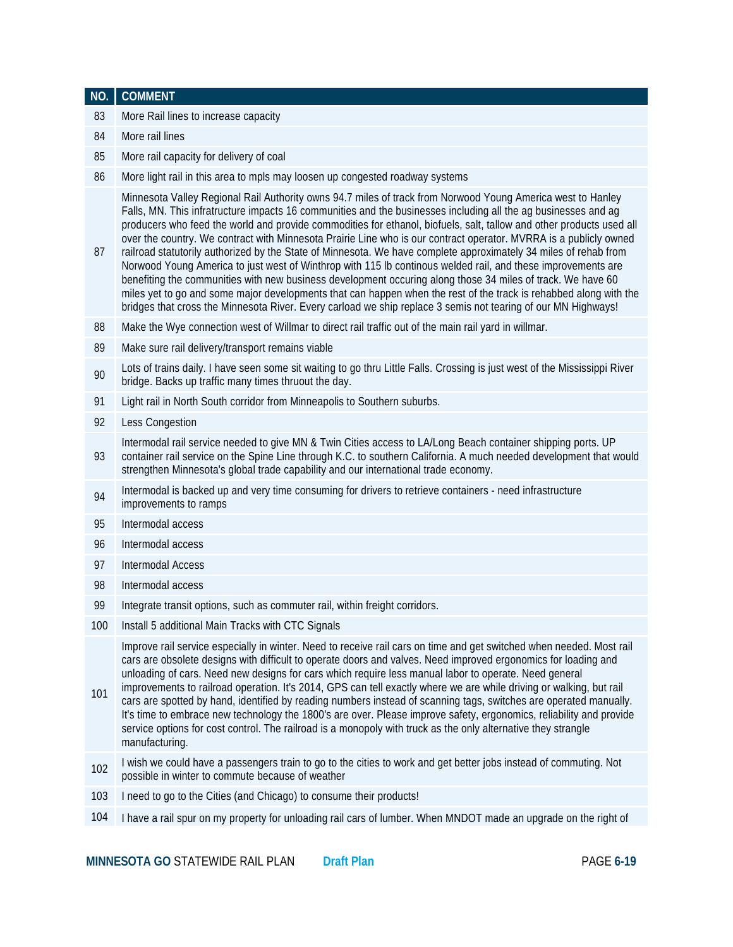| NO. | <b>COMMENT</b>                                                                                                                                                                                                                                                                                                                                                                                                                                                                                                                                                                                                                                                                                                                                                                                                                                                                                                                                                                                                                                                      |
|-----|---------------------------------------------------------------------------------------------------------------------------------------------------------------------------------------------------------------------------------------------------------------------------------------------------------------------------------------------------------------------------------------------------------------------------------------------------------------------------------------------------------------------------------------------------------------------------------------------------------------------------------------------------------------------------------------------------------------------------------------------------------------------------------------------------------------------------------------------------------------------------------------------------------------------------------------------------------------------------------------------------------------------------------------------------------------------|
| 83  | More Rail lines to increase capacity                                                                                                                                                                                                                                                                                                                                                                                                                                                                                                                                                                                                                                                                                                                                                                                                                                                                                                                                                                                                                                |
| 84  | More rail lines                                                                                                                                                                                                                                                                                                                                                                                                                                                                                                                                                                                                                                                                                                                                                                                                                                                                                                                                                                                                                                                     |
| 85  | More rail capacity for delivery of coal                                                                                                                                                                                                                                                                                                                                                                                                                                                                                                                                                                                                                                                                                                                                                                                                                                                                                                                                                                                                                             |
| 86  | More light rail in this area to mpls may loosen up congested roadway systems                                                                                                                                                                                                                                                                                                                                                                                                                                                                                                                                                                                                                                                                                                                                                                                                                                                                                                                                                                                        |
| 87  | Minnesota Valley Regional Rail Authority owns 94.7 miles of track from Norwood Young America west to Hanley<br>Falls, MN. This infratructure impacts 16 communities and the businesses including all the ag businesses and ag<br>producers who feed the world and provide commodities for ethanol, biofuels, salt, tallow and other products used all<br>over the country. We contract with Minnesota Prairie Line who is our contract operator. MVRRA is a publicly owned<br>railroad statutorily authorized by the State of Minnesota. We have complete approximately 34 miles of rehab from<br>Norwood Young America to just west of Winthrop with 115 lb continous welded rail, and these improvements are<br>benefiting the communities with new business development occuring along those 34 miles of track. We have 60<br>miles yet to go and some major developments that can happen when the rest of the track is rehabbed along with the<br>bridges that cross the Minnesota River. Every carload we ship replace 3 semis not tearing of our MN Highways! |
| 88  | Make the Wye connection west of Willmar to direct rail traffic out of the main rail yard in willmar.                                                                                                                                                                                                                                                                                                                                                                                                                                                                                                                                                                                                                                                                                                                                                                                                                                                                                                                                                                |
| 89  | Make sure rail delivery/transport remains viable                                                                                                                                                                                                                                                                                                                                                                                                                                                                                                                                                                                                                                                                                                                                                                                                                                                                                                                                                                                                                    |
| 90  | Lots of trains daily. I have seen some sit waiting to go thru Little Falls. Crossing is just west of the Mississippi River<br>bridge. Backs up traffic many times thruout the day.                                                                                                                                                                                                                                                                                                                                                                                                                                                                                                                                                                                                                                                                                                                                                                                                                                                                                  |
| 91  | Light rail in North South corridor from Minneapolis to Southern suburbs.                                                                                                                                                                                                                                                                                                                                                                                                                                                                                                                                                                                                                                                                                                                                                                                                                                                                                                                                                                                            |
| 92  | Less Congestion                                                                                                                                                                                                                                                                                                                                                                                                                                                                                                                                                                                                                                                                                                                                                                                                                                                                                                                                                                                                                                                     |
| 93  | Intermodal rail service needed to give MN & Twin Cities access to LA/Long Beach container shipping ports. UP<br>container rail service on the Spine Line through K.C. to southern California. A much needed development that would<br>strengthen Minnesota's global trade capability and our international trade economy.                                                                                                                                                                                                                                                                                                                                                                                                                                                                                                                                                                                                                                                                                                                                           |
| 94  | Intermodal is backed up and very time consuming for drivers to retrieve containers - need infrastructure<br>improvements to ramps                                                                                                                                                                                                                                                                                                                                                                                                                                                                                                                                                                                                                                                                                                                                                                                                                                                                                                                                   |
| 95  | Intermodal access                                                                                                                                                                                                                                                                                                                                                                                                                                                                                                                                                                                                                                                                                                                                                                                                                                                                                                                                                                                                                                                   |
| 96  | Intermodal access                                                                                                                                                                                                                                                                                                                                                                                                                                                                                                                                                                                                                                                                                                                                                                                                                                                                                                                                                                                                                                                   |
| 97  | <b>Intermodal Access</b>                                                                                                                                                                                                                                                                                                                                                                                                                                                                                                                                                                                                                                                                                                                                                                                                                                                                                                                                                                                                                                            |
| 98  | Intermodal access                                                                                                                                                                                                                                                                                                                                                                                                                                                                                                                                                                                                                                                                                                                                                                                                                                                                                                                                                                                                                                                   |
| 99  | Integrate transit options, such as commuter rail, within freight corridors.                                                                                                                                                                                                                                                                                                                                                                                                                                                                                                                                                                                                                                                                                                                                                                                                                                                                                                                                                                                         |
| 100 | Install 5 additional Main Tracks with CTC Signals                                                                                                                                                                                                                                                                                                                                                                                                                                                                                                                                                                                                                                                                                                                                                                                                                                                                                                                                                                                                                   |
| 101 | Improve rail service especially in winter. Need to receive rail cars on time and get switched when needed. Most rail<br>cars are obsolete designs with difficult to operate doors and valves. Need improved ergonomics for loading and<br>unloading of cars. Need new designs for cars which require less manual labor to operate. Need general<br>improvements to railroad operation. It's 2014, GPS can tell exactly where we are while driving or walking, but rail<br>cars are spotted by hand, identified by reading numbers instead of scanning tags, switches are operated manually.<br>It's time to embrace new technology the 1800's are over. Please improve safety, ergonomics, reliability and provide<br>service options for cost control. The railroad is a monopoly with truck as the only alternative they strangle<br>manufacturing.                                                                                                                                                                                                               |
| 102 | I wish we could have a passengers train to go to the cities to work and get better jobs instead of commuting. Not<br>possible in winter to commute because of weather                                                                                                                                                                                                                                                                                                                                                                                                                                                                                                                                                                                                                                                                                                                                                                                                                                                                                               |
| 103 | I need to go to the Cities (and Chicago) to consume their products!                                                                                                                                                                                                                                                                                                                                                                                                                                                                                                                                                                                                                                                                                                                                                                                                                                                                                                                                                                                                 |
| 104 | I have a rail spur on my property for unloading rail cars of lumber. When MNDOT made an upgrade on the right of                                                                                                                                                                                                                                                                                                                                                                                                                                                                                                                                                                                                                                                                                                                                                                                                                                                                                                                                                     |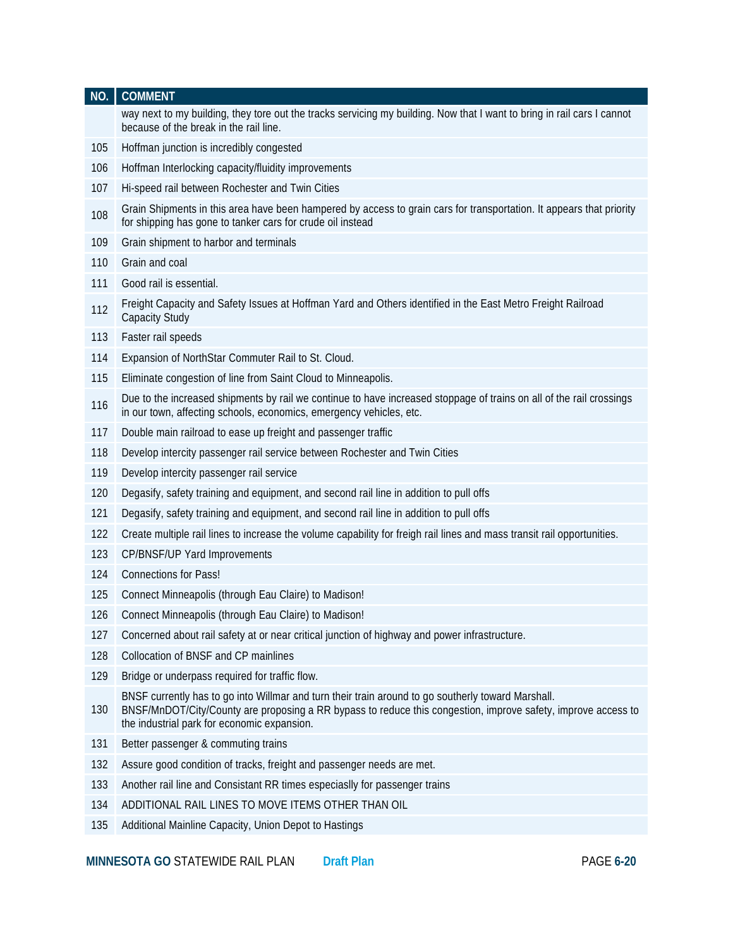| NO. | <b>COMMENT</b>                                                                                                                                                                                                                                                     |
|-----|--------------------------------------------------------------------------------------------------------------------------------------------------------------------------------------------------------------------------------------------------------------------|
|     | way next to my building, they tore out the tracks servicing my building. Now that I want to bring in rail cars I cannot<br>because of the break in the rail line.                                                                                                  |
| 105 | Hoffman junction is incredibly congested                                                                                                                                                                                                                           |
| 106 | Hoffman Interlocking capacity/fluidity improvements                                                                                                                                                                                                                |
| 107 | Hi-speed rail between Rochester and Twin Cities                                                                                                                                                                                                                    |
| 108 | Grain Shipments in this area have been hampered by access to grain cars for transportation. It appears that priority<br>for shipping has gone to tanker cars for crude oil instead                                                                                 |
| 109 | Grain shipment to harbor and terminals                                                                                                                                                                                                                             |
| 110 | Grain and coal                                                                                                                                                                                                                                                     |
| 111 | Good rail is essential.                                                                                                                                                                                                                                            |
| 112 | Freight Capacity and Safety Issues at Hoffman Yard and Others identified in the East Metro Freight Railroad<br>Capacity Study                                                                                                                                      |
| 113 | Faster rail speeds                                                                                                                                                                                                                                                 |
| 114 | Expansion of NorthStar Commuter Rail to St. Cloud.                                                                                                                                                                                                                 |
| 115 | Eliminate congestion of line from Saint Cloud to Minneapolis.                                                                                                                                                                                                      |
| 116 | Due to the increased shipments by rail we continue to have increased stoppage of trains on all of the rail crossings<br>in our town, affecting schools, economics, emergency vehicles, etc.                                                                        |
| 117 | Double main railroad to ease up freight and passenger traffic                                                                                                                                                                                                      |
| 118 | Develop intercity passenger rail service between Rochester and Twin Cities                                                                                                                                                                                         |
| 119 | Develop intercity passenger rail service                                                                                                                                                                                                                           |
| 120 | Degasify, safety training and equipment, and second rail line in addition to pull offs                                                                                                                                                                             |
| 121 | Degasify, safety training and equipment, and second rail line in addition to pull offs                                                                                                                                                                             |
| 122 | Create multiple rail lines to increase the volume capability for freigh rail lines and mass transit rail opportunities.                                                                                                                                            |
| 123 | CP/BNSF/UP Yard Improvements                                                                                                                                                                                                                                       |
| 124 | <b>Connections for Pass!</b>                                                                                                                                                                                                                                       |
| 125 | Connect Minneapolis (through Eau Claire) to Madison!                                                                                                                                                                                                               |
| 126 | Connect Minneapolis (through Eau Claire) to Madison!                                                                                                                                                                                                               |
| 127 | Concerned about rail safety at or near critical junction of highway and power infrastructure.                                                                                                                                                                      |
| 128 | Collocation of BNSF and CP mainlines                                                                                                                                                                                                                               |
| 129 | Bridge or underpass required for traffic flow.                                                                                                                                                                                                                     |
| 130 | BNSF currently has to go into Willmar and turn their train around to go southerly toward Marshall.<br>BNSF/MnDOT/City/County are proposing a RR bypass to reduce this congestion, improve safety, improve access to<br>the industrial park for economic expansion. |
| 131 | Better passenger & commuting trains                                                                                                                                                                                                                                |
| 132 | Assure good condition of tracks, freight and passenger needs are met.                                                                                                                                                                                              |
| 133 | Another rail line and Consistant RR times especiaslly for passenger trains                                                                                                                                                                                         |
| 134 | ADDITIONAL RAIL LINES TO MOVE ITEMS OTHER THAN OIL                                                                                                                                                                                                                 |
| 135 | Additional Mainline Capacity, Union Depot to Hastings                                                                                                                                                                                                              |